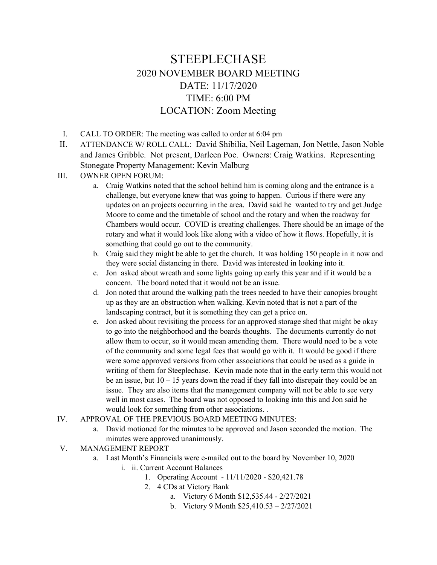# STEEPLECHASE 2020 NOVEMBER BOARD MEETING DATE: 11/17/2020 TIME: 6:00 PM LOCATION: Zoom Meeting

- I. CALL TO ORDER: The meeting was called to order at 6:04 pm
- II. ATTENDANCE W/ ROLL CALL: David Shibilia, Neil Lageman, Jon Nettle, Jason Noble and James Gribble. Not present, Darleen Poe. Owners: Craig Watkins. Representing Stonegate Property Management: Kevin Malburg

## III. OWNER OPEN FORUM:

- a. Craig Watkins noted that the school behind him is coming along and the entrance is a challenge, but everyone knew that was going to happen. Curious if there were any updates on an projects occurring in the area. David said he wanted to try and get Judge Moore to come and the timetable of school and the rotary and when the roadway for Chambers would occur. COVID is creating challenges. There should be an image of the rotary and what it would look like along with a video of how it flows. Hopefully, it is something that could go out to the community.
- b. Craig said they might be able to get the church. It was holding 150 people in it now and they were social distancing in there. David was interested in looking into it.
- c. Jon asked about wreath and some lights going up early this year and if it would be a concern. The board noted that it would not be an issue.
- d. Jon noted that around the walking path the trees needed to have their canopies brought up as they are an obstruction when walking. Kevin noted that is not a part of the landscaping contract, but it is something they can get a price on.
- e. Jon asked about revisiting the process for an approved storage shed that might be okay to go into the neighborhood and the boards thoughts. The documents currently do not allow them to occur, so it would mean amending them. There would need to be a vote of the community and some legal fees that would go with it. It would be good if there were some approved versions from other associations that could be used as a guide in writing of them for Steeplechase. Kevin made note that in the early term this would not be an issue, but  $10 - 15$  years down the road if they fall into disrepair they could be an issue. They are also items that the management company will not be able to see very well in most cases. The board was not opposed to looking into this and Jon said he would look for something from other associations. .
- IV. APPROVAL OF THE PREVIOUS BOARD MEETING MINUTES:
	- a. David motioned for the minutes to be approved and Jason seconded the motion. The minutes were approved unanimously.
- V. MANAGEMENT REPORT
	- a. Last Month's Financials were e-mailed out to the board by November 10, 2020
		- i. ii. Current Account Balances
			- 1. Operating Account 11/11/2020 \$20,421.78
			- 2. 4 CDs at Victory Bank
				- a. Victory 6 Month \$12,535.44 2/27/2021
				- b. Victory 9 Month \$25,410.53 2/27/2021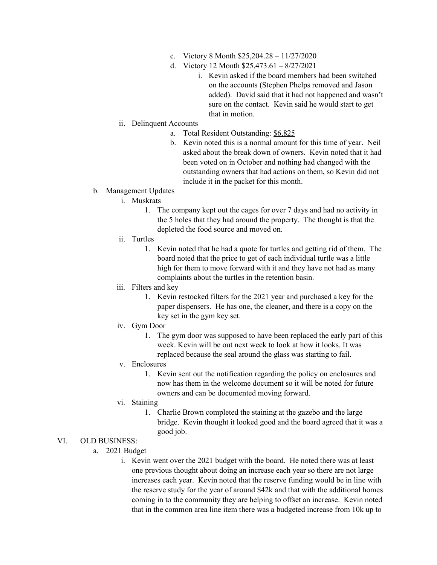- c. Victory 8 Month \$25,204.28 11/27/2020
- d. Victory 12 Month \$25,473.61 8/27/2021
	- i. Kevin asked if the board members had been switched on the accounts (Stephen Phelps removed and Jason added). David said that it had not happened and wasn't sure on the contact. Kevin said he would start to get that in motion.

## ii. Delinquent Accounts

- a. Total Resident Outstanding: \$6,825
- b. Kevin noted this is a normal amount for this time of year. Neil asked about the break down of owners. Kevin noted that it had been voted on in October and nothing had changed with the outstanding owners that had actions on them, so Kevin did not include it in the packet for this month.

### b. Management Updates

- i. Muskrats
	- 1. The company kept out the cages for over 7 days and had no activity in the 5 holes that they had around the property. The thought is that the depleted the food source and moved on.
- ii. Turtles
	- 1. Kevin noted that he had a quote for turtles and getting rid of them. The board noted that the price to get of each individual turtle was a little high for them to move forward with it and they have not had as many complaints about the turtles in the retention basin.
- iii. Filters and key
	- 1. Kevin restocked filters for the 2021 year and purchased a key for the paper dispensers. He has one, the cleaner, and there is a copy on the key set in the gym key set.
- iv. Gym Door
	- 1. The gym door was supposed to have been replaced the early part of this week. Kevin will be out next week to look at how it looks. It was replaced because the seal around the glass was starting to fail.
- v. Enclosures
	- 1. Kevin sent out the notification regarding the policy on enclosures and now has them in the welcome document so it will be noted for future owners and can be documented moving forward.
- vi. Staining
	- 1. Charlie Brown completed the staining at the gazebo and the large bridge. Kevin thought it looked good and the board agreed that it was a good job.

### VI. OLD BUSINESS:

- a. 2021 Budget
	- i. Kevin went over the 2021 budget with the board. He noted there was at least one previous thought about doing an increase each year so there are not large increases each year. Kevin noted that the reserve funding would be in line with the reserve study for the year of around \$42k and that with the additional homes coming in to the community they are helping to offset an increase. Kevin noted that in the common area line item there was a budgeted increase from 10k up to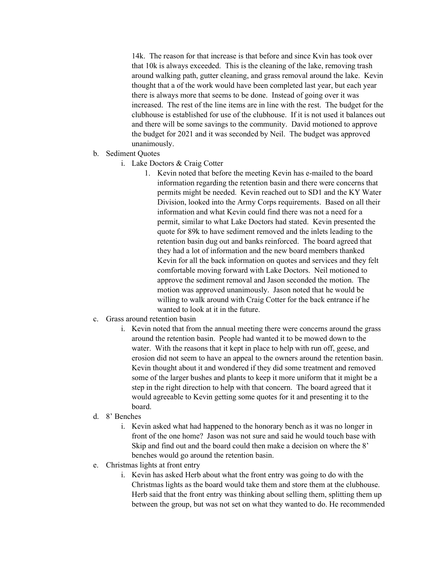14k. The reason for that increase is that before and since Kvin has took over that 10k is always exceeded. This is the cleaning of the lake, removing trash around walking path, gutter cleaning, and grass removal around the lake. Kevin thought that a of the work would have been completed last year, but each year there is always more that seems to be done. Instead of going over it was increased. The rest of the line items are in line with the rest. The budget for the clubhouse is established for use of the clubhouse. If it is not used it balances out and there will be some savings to the community. David motioned to approve the budget for 2021 and it was seconded by Neil. The budget was approved unanimously.

- b. Sediment Quotes
	- i. Lake Doctors & Craig Cotter
		- 1. Kevin noted that before the meeting Kevin has e-mailed to the board information regarding the retention basin and there were concerns that permits might be needed. Kevin reached out to SD1 and the KY Water Division, looked into the Army Corps requirements. Based on all their information and what Kevin could find there was not a need for a permit, similar to what Lake Doctors had stated. Kevin presented the quote for 89k to have sediment removed and the inlets leading to the retention basin dug out and banks reinforced. The board agreed that they had a lot of information and the new board members thanked Kevin for all the back information on quotes and services and they felt comfortable moving forward with Lake Doctors. Neil motioned to approve the sediment removal and Jason seconded the motion. The motion was approved unanimously. Jason noted that he would be willing to walk around with Craig Cotter for the back entrance if he wanted to look at it in the future.
- c. Grass around retention basin
	- i. Kevin noted that from the annual meeting there were concerns around the grass around the retention basin. People had wanted it to be mowed down to the water. With the reasons that it kept in place to help with run off, geese, and erosion did not seem to have an appeal to the owners around the retention basin. Kevin thought about it and wondered if they did some treatment and removed some of the larger bushes and plants to keep it more uniform that it might be a step in the right direction to help with that concern. The board agreed that it would agreeable to Kevin getting some quotes for it and presenting it to the board.
- d. 8' Benches
	- i. Kevin asked what had happened to the honorary bench as it was no longer in front of the one home? Jason was not sure and said he would touch base with Skip and find out and the board could then make a decision on where the 8' benches would go around the retention basin.
- e. Christmas lights at front entry
	- i. Kevin has asked Herb about what the front entry was going to do with the Christmas lights as the board would take them and store them at the clubhouse. Herb said that the front entry was thinking about selling them, splitting them up between the group, but was not set on what they wanted to do. He recommended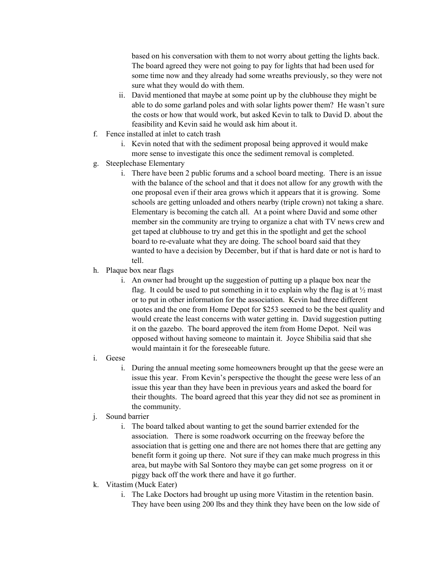based on his conversation with them to not worry about getting the lights back. The board agreed they were not going to pay for lights that had been used for some time now and they already had some wreaths previously, so they were not sure what they would do with them.

- ii. David mentioned that maybe at some point up by the clubhouse they might be able to do some garland poles and with solar lights power them? He wasn't sure the costs or how that would work, but asked Kevin to talk to David D. about the feasibility and Kevin said he would ask him about it.
- f. Fence installed at inlet to catch trash
	- i. Kevin noted that with the sediment proposal being approved it would make more sense to investigate this once the sediment removal is completed.
- g. Steeplechase Elementary
	- i. There have been 2 public forums and a school board meeting. There is an issue with the balance of the school and that it does not allow for any growth with the one proposal even if their area grows which it appears that it is growing. Some schools are getting unloaded and others nearby (triple crown) not taking a share. Elementary is becoming the catch all. At a point where David and some other member sin the community are trying to organize a chat with TV news crew and get taped at clubhouse to try and get this in the spotlight and get the school board to re-evaluate what they are doing. The school board said that they wanted to have a decision by December, but if that is hard date or not is hard to tell.
- h. Plaque box near flags
	- i. An owner had brought up the suggestion of putting up a plaque box near the flag. It could be used to put something in it to explain why the flag is at  $\frac{1}{2}$  mast or to put in other information for the association. Kevin had three different quotes and the one from Home Depot for \$253 seemed to be the best quality and would create the least concerns with water getting in. David suggestion putting it on the gazebo. The board approved the item from Home Depot. Neil was opposed without having someone to maintain it. Joyce Shibilia said that she would maintain it for the foreseeable future.
- i. Geese
	- i. During the annual meeting some homeowners brought up that the geese were an issue this year. From Kevin's perspective the thought the geese were less of an issue this year than they have been in previous years and asked the board for their thoughts. The board agreed that this year they did not see as prominent in the community.
- j. Sound barrier
	- i. The board talked about wanting to get the sound barrier extended for the association. There is some roadwork occurring on the freeway before the association that is getting one and there are not homes there that are getting any benefit form it going up there. Not sure if they can make much progress in this area, but maybe with Sal Sontoro they maybe can get some progress on it or piggy back off the work there and have it go further.
- k. Vitastim (Muck Eater)
	- i. The Lake Doctors had brought up using more Vitastim in the retention basin. They have been using 200 lbs and they think they have been on the low side of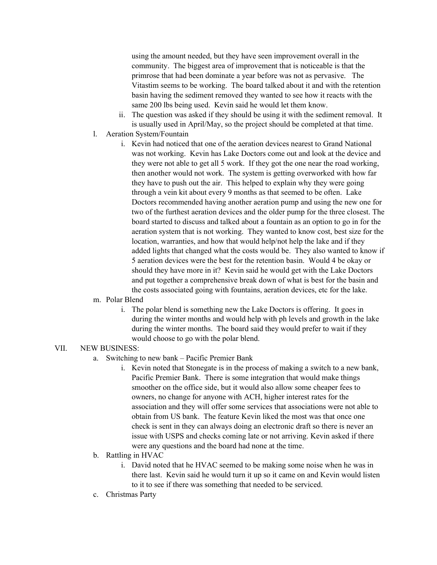using the amount needed, but they have seen improvement overall in the community. The biggest area of improvement that is noticeable is that the primrose that had been dominate a year before was not as pervasive. The Vitastim seems to be working. The board talked about it and with the retention basin having the sediment removed they wanted to see how it reacts with the same 200 lbs being used. Kevin said he would let them know.

- ii. The question was asked if they should be using it with the sediment removal. It is usually used in April/May, so the project should be completed at that time.
- l. Aeration System/Fountain
	- i. Kevin had noticed that one of the aeration devices nearest to Grand National was not working. Kevin has Lake Doctors come out and look at the device and they were not able to get all 5 work. If they got the one near the road working, then another would not work. The system is getting overworked with how far they have to push out the air. This helped to explain why they were going through a vein kit about every 9 months as that seemed to be often. Lake Doctors recommended having another aeration pump and using the new one for two of the furthest aeration devices and the older pump for the three closest. The board started to discuss and talked about a fountain as an option to go in for the aeration system that is not working. They wanted to know cost, best size for the location, warranties, and how that would help/not help the lake and if they added lights that changed what the costs would be. They also wanted to know if 5 aeration devices were the best for the retention basin. Would 4 be okay or should they have more in it? Kevin said he would get with the Lake Doctors and put together a comprehensive break down of what is best for the basin and the costs associated going with fountains, aeration devices, etc for the lake.

### m. Polar Blend

i. The polar blend is something new the Lake Doctors is offering. It goes in during the winter months and would help with ph levels and growth in the lake during the winter months. The board said they would prefer to wait if they would choose to go with the polar blend.

#### VII. NEW BUSINESS:

- a. Switching to new bank Pacific Premier Bank
	- i. Kevin noted that Stonegate is in the process of making a switch to a new bank, Pacific Premier Bank. There is some integration that would make things smoother on the office side, but it would also allow some cheaper fees to owners, no change for anyone with ACH, higher interest rates for the association and they will offer some services that associations were not able to obtain from US bank. The feature Kevin liked the most was that once one check is sent in they can always doing an electronic draft so there is never an issue with USPS and checks coming late or not arriving. Kevin asked if there were any questions and the board had none at the time.
- b. Rattling in HVAC
	- i. David noted that he HVAC seemed to be making some noise when he was in there last. Kevin said he would turn it up so it came on and Kevin would listen to it to see if there was something that needed to be serviced.
- c. Christmas Party